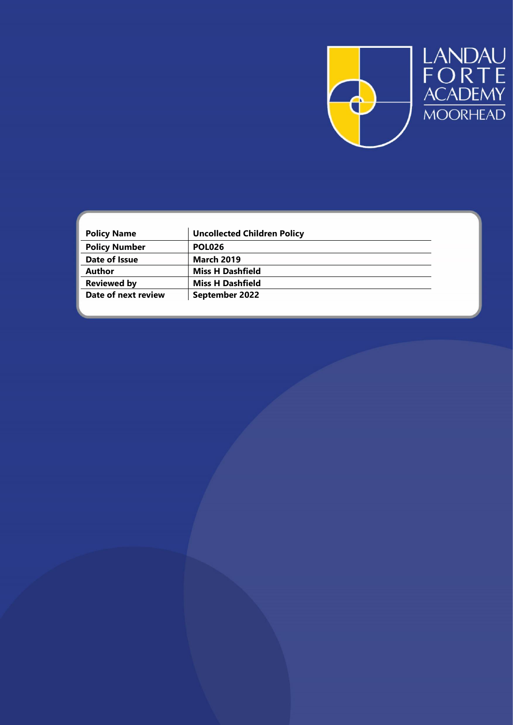

| <b>Policy Name</b>   | <b>Uncollected Children Policy</b> |  |
|----------------------|------------------------------------|--|
| <b>Policy Number</b> | <b>POL026</b>                      |  |
| Date of Issue        | <b>March 2019</b>                  |  |
| <b>Author</b>        | <b>Miss H Dashfield</b>            |  |
| <b>Reviewed by</b>   | <b>Miss H Dashfield</b>            |  |
| Date of next review  | September 2022                     |  |
|                      |                                    |  |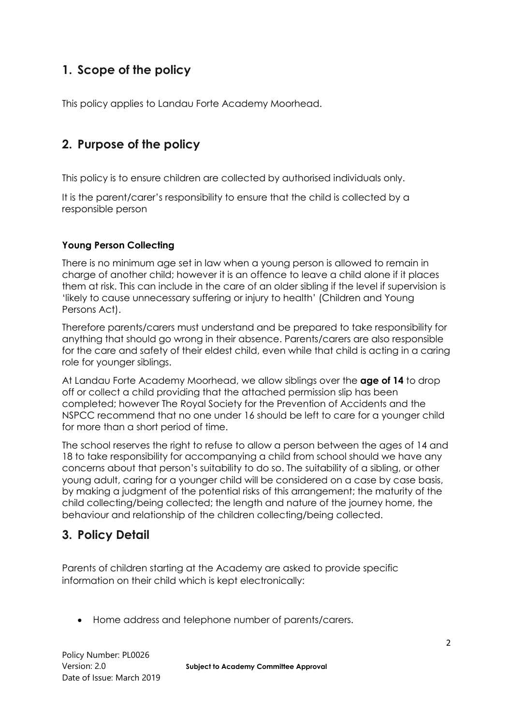# **1. Scope of the policy**

This policy applies to Landau Forte Academy Moorhead.

## **2. Purpose of the policy**

This policy is to ensure children are collected by authorised individuals only.

It is the parent/carer's responsibility to ensure that the child is collected by a responsible person

#### **Young Person Collecting**

There is no minimum age set in law when a young person is allowed to remain in charge of another child; however it is an offence to leave a child alone if it places them at risk. This can include in the care of an older sibling if the level if supervision is 'likely to cause unnecessary suffering or injury to health' (Children and Young Persons Act).

Therefore parents/carers must understand and be prepared to take responsibility for anything that should go wrong in their absence. Parents/carers are also responsible for the care and safety of their eldest child, even while that child is acting in a caring role for younger siblings.

At Landau Forte Academy Moorhead, we allow siblings over the **age of 14** to drop off or collect a child providing that the attached permission slip has been completed; however The Royal Society for the Prevention of Accidents and the NSPCC recommend that no one under 16 should be left to care for a younger child for more than a short period of time.

The school reserves the right to refuse to allow a person between the ages of 14 and 18 to take responsibility for accompanying a child from school should we have any concerns about that person's suitability to do so. The suitability of a sibling, or other young adult, caring for a younger child will be considered on a case by case basis, by making a judgment of the potential risks of this arrangement; the maturity of the child collecting/being collected; the length and nature of the journey home, the behaviour and relationship of the children collecting/being collected.

### **3. Policy Detail**

Parents of children starting at the Academy are asked to provide specific information on their child which is kept electronically:

Home address and telephone number of parents/carers.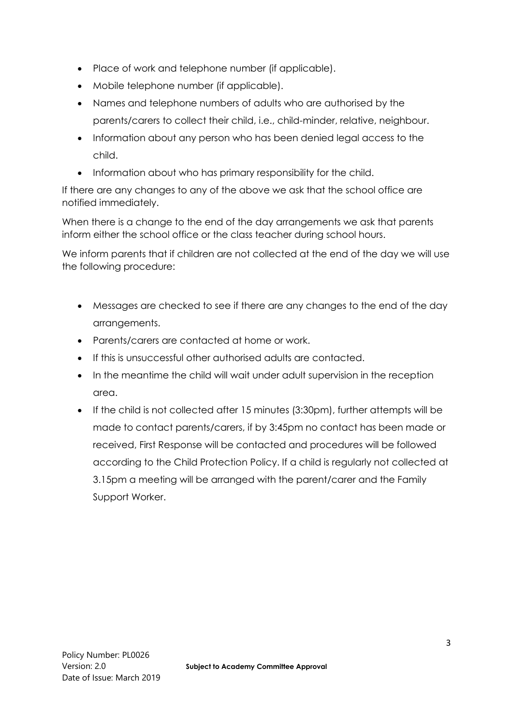- Place of work and telephone number (if applicable).
- Mobile telephone number (if applicable).
- Names and telephone numbers of adults who are authorised by the parents/carers to collect their child, i.e., child-minder, relative, neighbour.
- Information about any person who has been denied legal access to the child.
- Information about who has primary responsibility for the child.

If there are any changes to any of the above we ask that the school office are notified immediately.

When there is a change to the end of the day arrangements we ask that parents inform either the school office or the class teacher during school hours.

We inform parents that if children are not collected at the end of the day we will use the following procedure:

- Messages are checked to see if there are any changes to the end of the day arrangements.
- Parents/carers are contacted at home or work.
- If this is unsuccessful other authorised adults are contacted.
- In the meantime the child will wait under adult supervision in the reception area.
- If the child is not collected after 15 minutes (3:30pm), further attempts will be made to contact parents/carers, if by 3:45pm no contact has been made or received, First Response will be contacted and procedures will be followed according to the Child Protection Policy. If a child is regularly not collected at 3.15pm a meeting will be arranged with the parent/carer and the Family Support Worker.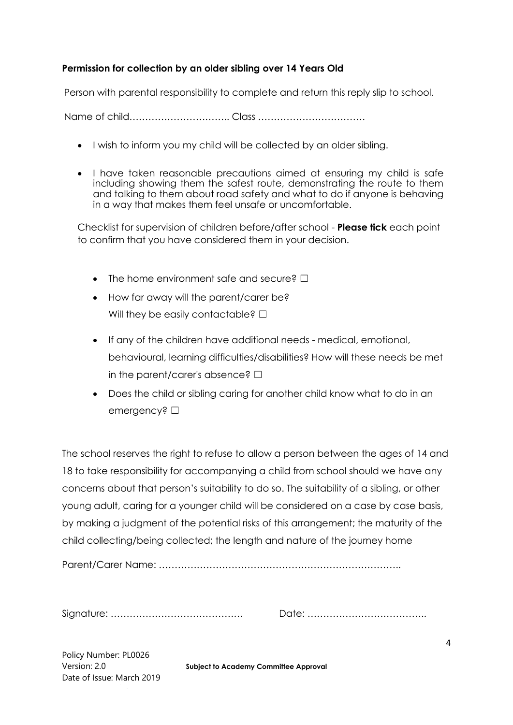#### **Permission for collection by an older sibling over 14 Years Old**

Person with parental responsibility to complete and return this reply slip to school.

Name of child………………………….. Class …………………………….

- I wish to inform you my child will be collected by an older sibling.
- I have taken reasonable precautions aimed at ensuring my child is safe including showing them the safest route, demonstrating the route to them and talking to them about road safety and what to do if anyone is behaving in a way that makes them feel unsafe or uncomfortable.

Checklist for supervision of children before/after school - **Please tick** each point to confirm that you have considered them in your decision.

- The home environment safe and secure? □
- How far away will the parent/carer be? Will they be easily contactable?  $□$
- If any of the children have additional needs medical, emotional, behavioural, learning difficulties/disabilities? How will these needs be met in the parent/carer's absence?  $\square$
- Does the child or sibling caring for another child know what to do in an emergency? □

The school reserves the right to refuse to allow a person between the ages of 14 and 18 to take responsibility for accompanying a child from school should we have any concerns about that person's suitability to do so. The suitability of a sibling, or other young adult, caring for a younger child will be considered on a case by case basis, by making a judgment of the potential risks of this arrangement; the maturity of the child collecting/being collected; the length and nature of the journey home

Parent/Carer Name: …………………………………………………………………..

Signature: …………………………………… Date: ………………………………..

Policy Number: PL0026 Date of Issue: March 2019

Version: 2.0 **Subject to Academy Committee Approval**